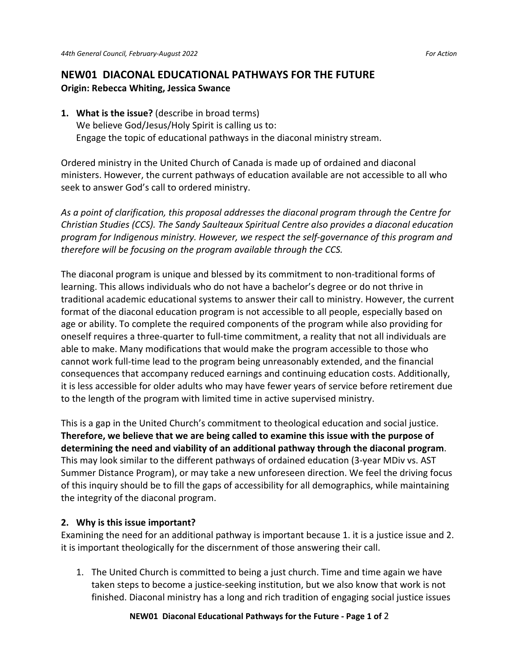## **NEW01 DIACONAL EDUCATIONAL PATHWAYS FOR THE FUTURE Origin: Rebecca Whiting, Jessica Swance**

**1. What is the issue?** (describe in broad terms) We believe God/Jesus/Holy Spirit is calling us to: Engage the topic of educational pathways in the diaconal ministry stream.

Ordered ministry in the United Church of Canada is made up of ordained and diaconal ministers. However, the current pathways of education available are not accessible to all who seek to answer God's call to ordered ministry.

*As a point of clarification, this proposal addresses the diaconal program through the Centre for Christian Studies (CCS). The [Sandy Saulteaux Spiritual Centre](http://sandysaulteaux.ca/) also provides a diaconal education program for Indigenous ministry. However, we respect the self-governance of this program and therefore will be focusing on the program available through the CCS.* 

The diaconal program is unique and blessed by its commitment to non-traditional forms of learning. This allows individuals who do not have a bachelor's degree or do not thrive in traditional academic educational systems to answer their call to ministry. However, the current format of the diaconal education program is not accessible to all people, especially based on age or ability. To complete the required components of the program while also providing for oneself requires a three-quarter to full-time commitment, a reality that not all individuals are able to make. Many modifications that would make the program accessible to those who cannot work full-time lead to the program being unreasonably extended, and the financial consequences that accompany reduced earnings and continuing education costs. Additionally, it is less accessible for older adults who may have fewer years of service before retirement due to the length of the program with limited time in active supervised ministry.

This is a gap in the United Church's commitment to theological education and social justice. **Therefore, we believe that we are being called to examine this issue with the purpose of determining the need and viability of an additional pathway through the diaconal program**. This may look similar to the different pathways of ordained education (3-year MDiv vs. AST Summer Distance Program), or may take a new unforeseen direction. We feel the driving focus of this inquiry should be to fill the gaps of accessibility for all demographics, while maintaining the integrity of the diaconal program.

## **2. Why is this issue important?**

Examining the need for an additional pathway is important because 1. it is a justice issue and 2. it is important theologically for the discernment of those answering their call.

1. The United Church is committed to being a just church. Time and time again we have taken steps to become a justice-seeking institution, but we also know that work is not finished. Diaconal ministry has a long and rich tradition of engaging social justice issues